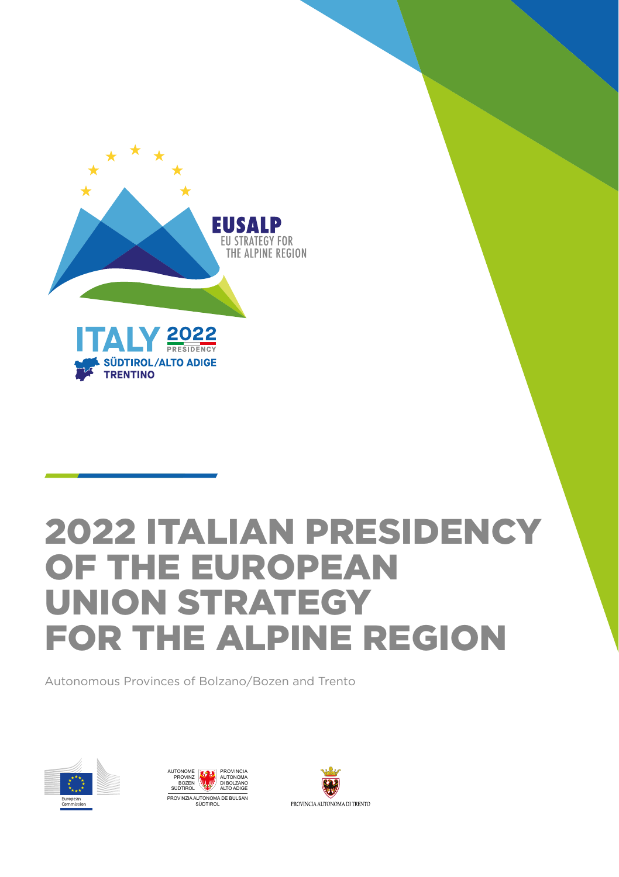

## 2022 ITALIAN PRESIDENCY OF THE EUROPEAN UNION STRATEGY FOR THE ALPINE REGION

Autonomous Provinces of Bolzano/Bozen and Trento





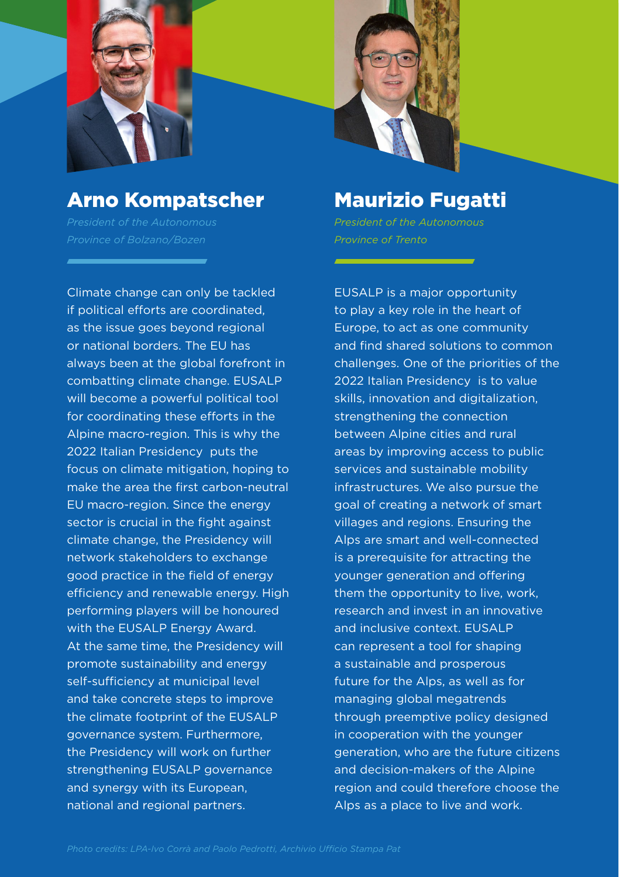



### Arno Kompatscher Arno Kompatscher

Climate change can only be tackled Climate change can only be tackled if political efforts are coordinated, if political efforts are coordinated, as the issue goes beyond regional as the issue goes beyond regional or national borders. The EU has or national borders. The EU has always been at the global forefront in always been at the global forefront in combatting climate change. EUSALP combatting climate change. EUSALP will become a powerful political tool will become a powerful political tool for coordinating these efforts in the for coordinating these efforts in the Alpine macro-region. This is why the Alpine macro-region. This is why the 2022 Italian Presidency puts the 2022 Italian Presidency puts the focus on climate mitigation, hoping to focus on climate mitigation, hoping to make the area the first carbon-neutral make the area the first carbon-neutral EU macro-region. Since the energy EU macro-region. Since the energy sector is crucial in the fight against sector is crucial in the fight against climate change, the Presidency will climate change, the Presidency will network stakeholders to exchange network stakeholders to exchange good practice in the field of energy good practice in the field of energy efficiency and renewable energy. High efficiency and renewable energy. High performing players will be honoured performing players will be honoured with the EUSALP Energy Award. with the EUSALP Energy Award. At the same time, the Presidency will At the same time, the Presidency will promote sustainability and energy promote sustainability and energy self-sufficiency at municipal level self-sufficiency at municipal level and take concrete steps to improve and take concrete steps to improve the climate footprint of the EUSALP the climate footprint of the EUSALP governance system. Furthermore, governance system. Furthermore, the Presidency will work on further the Presidency will work on further strengthening EUSALP governance strengthening EUSALP governance and synergy with its European, and synergy with its European, national and regional partners. national and regional partners.

### Maurizio Fugatti Maurizio Fugatti

EUSALP is a major opportunity EUSALP is a major opportunity to play a key role in the heart of to play a key role in the heart of Europe, to act as one community Europe, to act as one community and find shared solutions to common and find shared solutions to common challenges. One of the priorities of the challenges. One of the priorities of the 2022 Italian Presidency is to value 2022 Italian Presidency is to value skills, innovation and digitalization, skills, innovation and digitalization, strengthening the connection strengthening the connection between Alpine cities and rural between Alpine cities and rural areas by improving access to public areas by improving access to public services and sustainable mobility services and sustainable mobility infrastructures. We also pursue the infrastructures. We also pursue the goal of creating a network of smart goal of creating a network of smart villages and regions. Ensuring the villages and regions. Ensuring the Alps are smart and well-connected Alps are smart and well-connected is a prerequisite for attracting the is a prerequisite for attracting the younger generation and offering younger generation and offering them the opportunity to live, work, them the opportunity to live, work, research and invest in an innovative research and invest in an innovative and inclusive context. EUSALP and inclusive context. EUSALP can represent a tool for shaping can represent a tool for shaping a sustainable and prosperous a sustainable and prosperous future for the Alps, as well as for future for the Alps, as well as for managing global megatrends managing global megatrends through preemptive policy designed through preemptive policy designed in cooperation with the younger in cooperation with the younger generation, who are the future citizens generation, who are the future citizens and decision-makers of the Alpine and decision-makers of the Alpine region and could therefore choose the region and could therefore choose the Alps as a place to live and work. Alps as a place to live and work.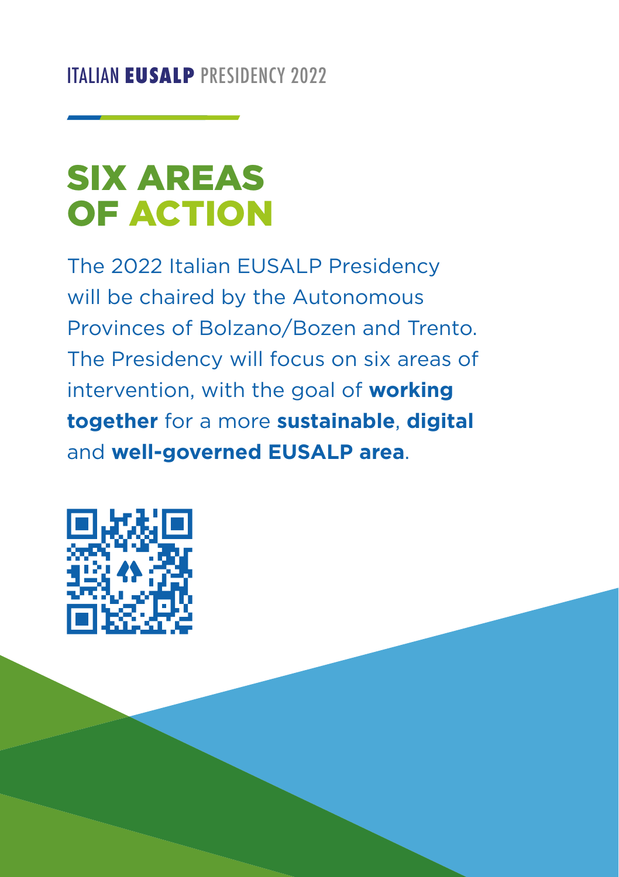# SIX AREAS OF ACTION

The 2022 Italian EUSALP Presidency will be chaired by the Autonomous Provinces of Bolzano/Bozen and Trento. The Presidency will focus on six areas of intervention, with the goal of **working together** for a more **sustainable**, **digital** and **well-governed EUSALP area**.

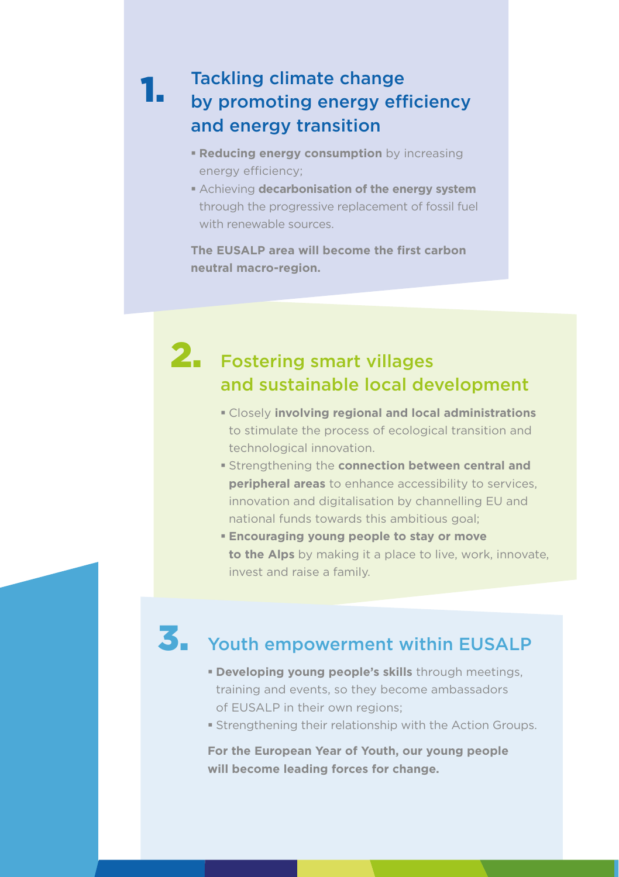#### Tackling climate change by promoting energy efficiency and energy transition 1.

- **Reducing energy consumption** by increasing energy efficiency;
- Achieving **decarbonisation of the energy system** through the progressive replacement of fossil fuel with renewable sources.

**The EUSALP area will become the first carbon neutral macro-region.**

### 2. Fostering smart villages and sustainable local development

- Closely **involving regional and local administrations** to stimulate the process of ecological transition and technological innovation.
- **strengthening the connection between central and peripheral areas** to enhance accessibility to services, innovation and digitalisation by channelling EU and national funds towards this ambitious goal;
- **Encouraging young people to stay or move to the Alps** by making it a place to live, work, innovate, invest and raise a family.

### 3. Youth empowerment within EUSALP

- **Developing young people's skills** through meetings, training and events, so they become ambassadors of EUSALP in their own regions;
- Strengthening their relationship with the Action Groups.

**For the European Year of Youth, our young people will become leading forces for change.**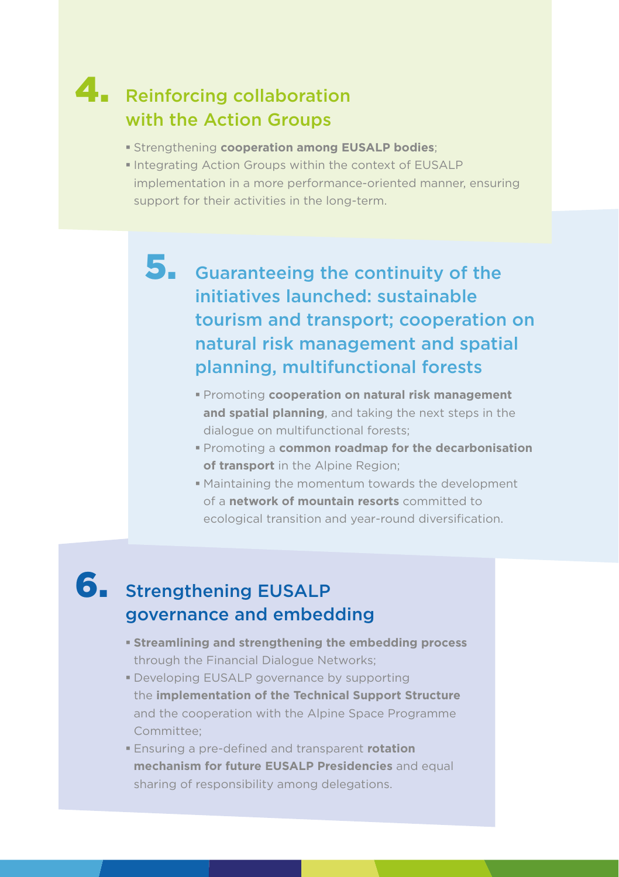### 4. Reinforcing collaboration with the Action Groups

- Strengthening **cooperation among EUSALP bodies**;
- Integrating Action Groups within the context of EUSALP implementation in a more performance-oriented manner, ensuring support for their activities in the long-term.
	- 5. Guaranteeing the continuity of the initiatives launched: sustainable tourism and transport; cooperation on natural risk management and spatial planning, multifunctional forests
		- Promoting **cooperation on natural risk management and spatial planning**, and taking the next steps in the dialogue on multifunctional forests;
		- Promoting a **common roadmap for the decarbonisation of transport** in the Alpine Region;
		- Maintaining the momentum towards the development of a **network of mountain resorts** committed to ecological transition and year-round diversification.

### 6. Strengthening EUSALP governance and embedding

- **Streamlining and strengthening the embedding process** through the Financial Dialogue Networks;
- Developing EUSALP governance by supporting the **implementation of the Technical Support Structure** and the cooperation with the Alpine Space Programme Committee;
- Ensuring a pre-defined and transparent **rotation mechanism for future EUSALP Presidencies** and equal sharing of responsibility among delegations.